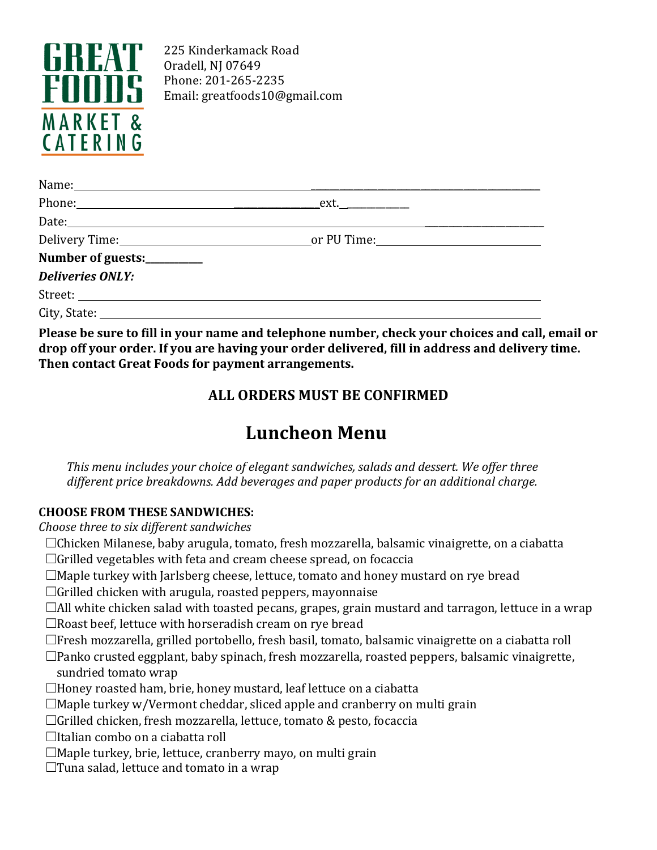

225 Kinderkamack Road Oradell, NJ 07649 Phone: 201-265-2235 Email: [greatfoods10@gmail.com](mailto:greatfoods10@gmail.com)

| Number of guests:_________ |  |
|----------------------------|--|
| <b>Deliveries ONLY:</b>    |  |
|                            |  |
|                            |  |
|                            |  |

**Please be sure to fill in your name and telephone number, check your choices and call, email or drop off your order. If you are having your order delivered, fill in address and delivery time. Then contact Great Foods for payment arrangements.**

## **ALL ORDERS MUST BE CONFIRMED**

# **Luncheon Menu**

*This menu includes your choice of elegant sandwiches, salads and dessert. We offer three different price breakdowns. Add beverages and paper products for an additional charge.*

### **CHOOSE FROM THESE SANDWICHES:**

*Choose three to six different sandwiches*

- ☐Chicken Milanese, baby arugula, tomato, fresh mozzarella, balsamic vinaigrette, on a ciabatta ☐Grilled vegetables with feta and cream cheese spread, on focaccia
- ☐Maple turkey with Jarlsberg cheese, lettuce, tomato and honey mustard on rye bread
- $\Box$ Grilled chicken with arugula, roasted peppers, mayonnaise
- ☐All white chicken salad with toasted pecans, grapes, grain mustard and tarragon, lettuce in a wrap ☐Roast beef, lettuce with horseradish cream on rye bread
- ☐Fresh mozzarella, grilled portobello, fresh basil, tomato, balsamic vinaigrette on a ciabatta roll
- ☐Panko crusted eggplant, baby spinach, fresh mozzarella, roasted peppers, balsamic vinaigrette, sundried tomato wrap
- ☐Honey roasted ham, brie, honey mustard, leaf lettuce on a ciabatta
- $\Box$ Maple turkey w/Vermont cheddar, sliced apple and cranberry on multi grain
- ☐Grilled chicken, fresh mozzarella, lettuce, tomato & pesto, focaccia
- ☐Italian combo on a ciabatta roll
- ☐Maple turkey, brie, lettuce, cranberry mayo, on multi grain
- $\Box$ Tuna salad, lettuce and tomato in a wrap